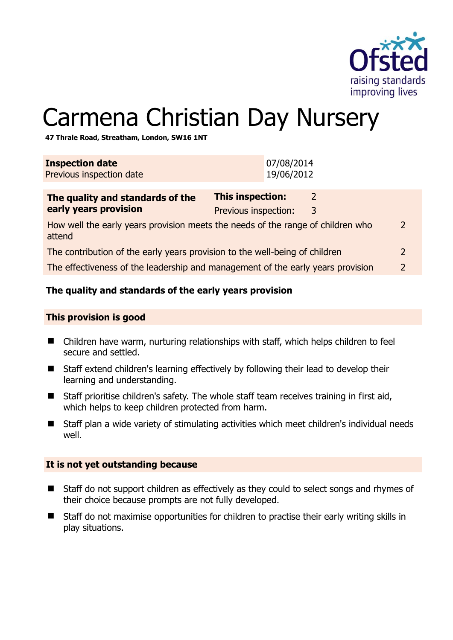

# Carmena Christian Day Nursery

**47 Thrale Road, Streatham, London, SW16 1NT** 

| <b>Inspection date</b><br>Previous inspection date                                                         | 07/08/2014<br>19/06/2012                                  |  |
|------------------------------------------------------------------------------------------------------------|-----------------------------------------------------------|--|
| The quality and standards of the<br>early years provision                                                  | <b>This inspection:</b><br>2<br>Previous inspection:<br>3 |  |
| How well the early years provision meets the needs of the range of children who<br>$\mathcal{L}$<br>attend |                                                           |  |
| The contribution of the early years provision to the well-being of children                                |                                                           |  |
| The effectiveness of the leadership and management of the early years provision<br>2                       |                                                           |  |
|                                                                                                            |                                                           |  |

#### **The quality and standards of the early years provision**

#### **This provision is good**

- Children have warm, nurturing relationships with staff, which helps children to feel secure and settled.
- Staff extend children's learning effectively by following their lead to develop their learning and understanding.
- Staff prioritise children's safety. The whole staff team receives training in first aid, which helps to keep children protected from harm.
- Staff plan a wide variety of stimulating activities which meet children's individual needs well.

#### **It is not yet outstanding because**

- Staff do not support children as effectively as they could to select songs and rhymes of their choice because prompts are not fully developed.
- Staff do not maximise opportunities for children to practise their early writing skills in play situations.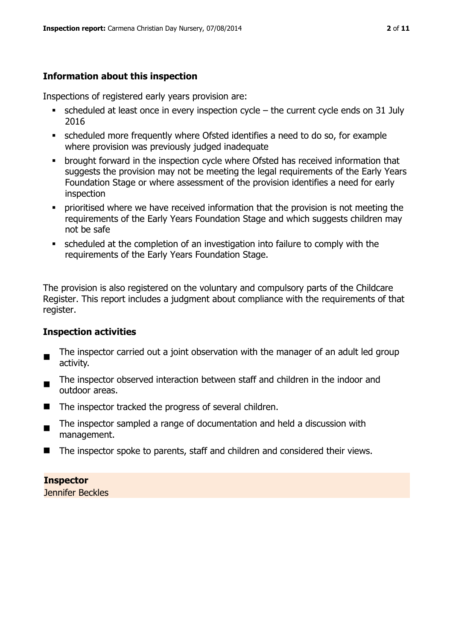### **Information about this inspection**

Inspections of registered early years provision are:

- $\blacksquare$  scheduled at least once in every inspection cycle the current cycle ends on 31 July 2016
- scheduled more frequently where Ofsted identifies a need to do so, for example where provision was previously judged inadequate
- **•** brought forward in the inspection cycle where Ofsted has received information that suggests the provision may not be meeting the legal requirements of the Early Years Foundation Stage or where assessment of the provision identifies a need for early inspection
- **•** prioritised where we have received information that the provision is not meeting the requirements of the Early Years Foundation Stage and which suggests children may not be safe
- scheduled at the completion of an investigation into failure to comply with the requirements of the Early Years Foundation Stage.

The provision is also registered on the voluntary and compulsory parts of the Childcare Register. This report includes a judgment about compliance with the requirements of that register.

#### **Inspection activities**

- $\blacksquare$ The inspector carried out a joint observation with the manager of an adult led group activity.
- The inspector observed interaction between staff and children in the indoor and outdoor areas.
- The inspector tracked the progress of several children.
- $\blacksquare$ The inspector sampled a range of documentation and held a discussion with management.
- The inspector spoke to parents, staff and children and considered their views.

**Inspector** 

Jennifer Beckles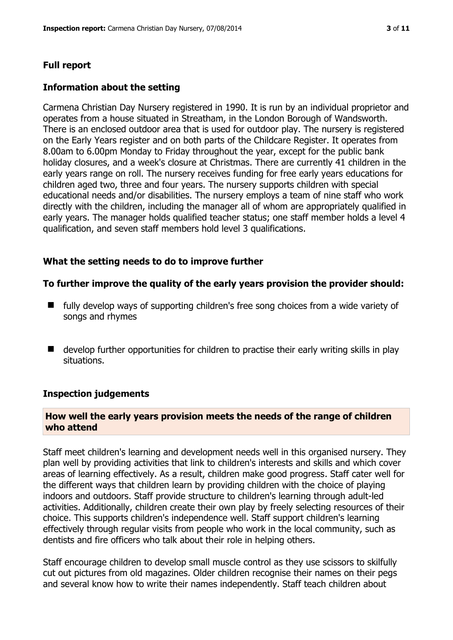### **Full report**

#### **Information about the setting**

Carmena Christian Day Nursery registered in 1990. It is run by an individual proprietor and operates from a house situated in Streatham, in the London Borough of Wandsworth. There is an enclosed outdoor area that is used for outdoor play. The nursery is registered on the Early Years register and on both parts of the Childcare Register. It operates from 8.00am to 6.00pm Monday to Friday throughout the year, except for the public bank holiday closures, and a week's closure at Christmas. There are currently 41 children in the early years range on roll. The nursery receives funding for free early years educations for children aged two, three and four years. The nursery supports children with special educational needs and/or disabilities. The nursery employs a team of nine staff who work directly with the children, including the manager all of whom are appropriately qualified in early years. The manager holds qualified teacher status; one staff member holds a level 4 qualification, and seven staff members hold level 3 qualifications.

#### **What the setting needs to do to improve further**

#### **To further improve the quality of the early years provision the provider should:**

- **If the study develop ways of supporting children's free song choices from a wide variety of Languisty** songs and rhymes
- develop further opportunities for children to practise their early writing skills in play situations.

#### **Inspection judgements**

#### **How well the early years provision meets the needs of the range of children who attend**

Staff meet children's learning and development needs well in this organised nursery. They plan well by providing activities that link to children's interests and skills and which cover areas of learning effectively. As a result, children make good progress. Staff cater well for the different ways that children learn by providing children with the choice of playing indoors and outdoors. Staff provide structure to children's learning through adult-led activities. Additionally, children create their own play by freely selecting resources of their choice. This supports children's independence well. Staff support children's learning effectively through regular visits from people who work in the local community, such as dentists and fire officers who talk about their role in helping others.

Staff encourage children to develop small muscle control as they use scissors to skilfully cut out pictures from old magazines. Older children recognise their names on their pegs and several know how to write their names independently. Staff teach children about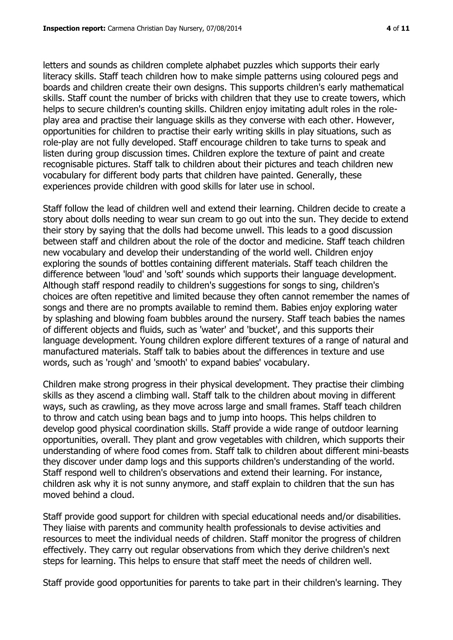letters and sounds as children complete alphabet puzzles which supports their early literacy skills. Staff teach children how to make simple patterns using coloured pegs and boards and children create their own designs. This supports children's early mathematical skills. Staff count the number of bricks with children that they use to create towers, which helps to secure children's counting skills. Children enjoy imitating adult roles in the roleplay area and practise their language skills as they converse with each other. However, opportunities for children to practise their early writing skills in play situations, such as role-play are not fully developed. Staff encourage children to take turns to speak and listen during group discussion times. Children explore the texture of paint and create recognisable pictures. Staff talk to children about their pictures and teach children new vocabulary for different body parts that children have painted. Generally, these experiences provide children with good skills for later use in school.

Staff follow the lead of children well and extend their learning. Children decide to create a story about dolls needing to wear sun cream to go out into the sun. They decide to extend their story by saying that the dolls had become unwell. This leads to a good discussion between staff and children about the role of the doctor and medicine. Staff teach children new vocabulary and develop their understanding of the world well. Children enjoy exploring the sounds of bottles containing different materials. Staff teach children the difference between 'loud' and 'soft' sounds which supports their language development. Although staff respond readily to children's suggestions for songs to sing, children's choices are often repetitive and limited because they often cannot remember the names of songs and there are no prompts available to remind them. Babies enjoy exploring water by splashing and blowing foam bubbles around the nursery. Staff teach babies the names of different objects and fluids, such as 'water' and 'bucket', and this supports their language development. Young children explore different textures of a range of natural and manufactured materials. Staff talk to babies about the differences in texture and use words, such as 'rough' and 'smooth' to expand babies' vocabulary.

Children make strong progress in their physical development. They practise their climbing skills as they ascend a climbing wall. Staff talk to the children about moving in different ways, such as crawling, as they move across large and small frames. Staff teach children to throw and catch using bean bags and to jump into hoops. This helps children to develop good physical coordination skills. Staff provide a wide range of outdoor learning opportunities, overall. They plant and grow vegetables with children, which supports their understanding of where food comes from. Staff talk to children about different mini-beasts they discover under damp logs and this supports children's understanding of the world. Staff respond well to children's observations and extend their learning. For instance, children ask why it is not sunny anymore, and staff explain to children that the sun has moved behind a cloud.

Staff provide good support for children with special educational needs and/or disabilities. They liaise with parents and community health professionals to devise activities and resources to meet the individual needs of children. Staff monitor the progress of children effectively. They carry out regular observations from which they derive children's next steps for learning. This helps to ensure that staff meet the needs of children well.

Staff provide good opportunities for parents to take part in their children's learning. They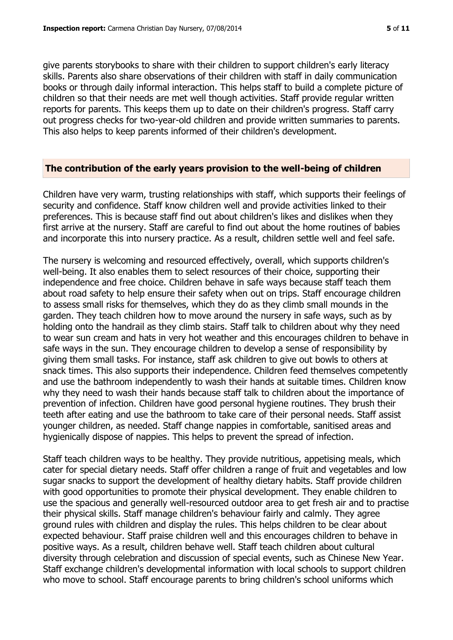give parents storybooks to share with their children to support children's early literacy skills. Parents also share observations of their children with staff in daily communication books or through daily informal interaction. This helps staff to build a complete picture of children so that their needs are met well though activities. Staff provide regular written reports for parents. This keeps them up to date on their children's progress. Staff carry out progress checks for two-year-old children and provide written summaries to parents. This also helps to keep parents informed of their children's development.

#### **The contribution of the early years provision to the well-being of children**

Children have very warm, trusting relationships with staff, which supports their feelings of security and confidence. Staff know children well and provide activities linked to their preferences. This is because staff find out about children's likes and dislikes when they first arrive at the nursery. Staff are careful to find out about the home routines of babies and incorporate this into nursery practice. As a result, children settle well and feel safe.

The nursery is welcoming and resourced effectively, overall, which supports children's well-being. It also enables them to select resources of their choice, supporting their independence and free choice. Children behave in safe ways because staff teach them about road safety to help ensure their safety when out on trips. Staff encourage children to assess small risks for themselves, which they do as they climb small mounds in the garden. They teach children how to move around the nursery in safe ways, such as by holding onto the handrail as they climb stairs. Staff talk to children about why they need to wear sun cream and hats in very hot weather and this encourages children to behave in safe ways in the sun. They encourage children to develop a sense of responsibility by giving them small tasks. For instance, staff ask children to give out bowls to others at snack times. This also supports their independence. Children feed themselves competently and use the bathroom independently to wash their hands at suitable times. Children know why they need to wash their hands because staff talk to children about the importance of prevention of infection. Children have good personal hygiene routines. They brush their teeth after eating and use the bathroom to take care of their personal needs. Staff assist younger children, as needed. Staff change nappies in comfortable, sanitised areas and hygienically dispose of nappies. This helps to prevent the spread of infection.

Staff teach children ways to be healthy. They provide nutritious, appetising meals, which cater for special dietary needs. Staff offer children a range of fruit and vegetables and low sugar snacks to support the development of healthy dietary habits. Staff provide children with good opportunities to promote their physical development. They enable children to use the spacious and generally well-resourced outdoor area to get fresh air and to practise their physical skills. Staff manage children's behaviour fairly and calmly. They agree ground rules with children and display the rules. This helps children to be clear about expected behaviour. Staff praise children well and this encourages children to behave in positive ways. As a result, children behave well. Staff teach children about cultural diversity through celebration and discussion of special events, such as Chinese New Year. Staff exchange children's developmental information with local schools to support children who move to school. Staff encourage parents to bring children's school uniforms which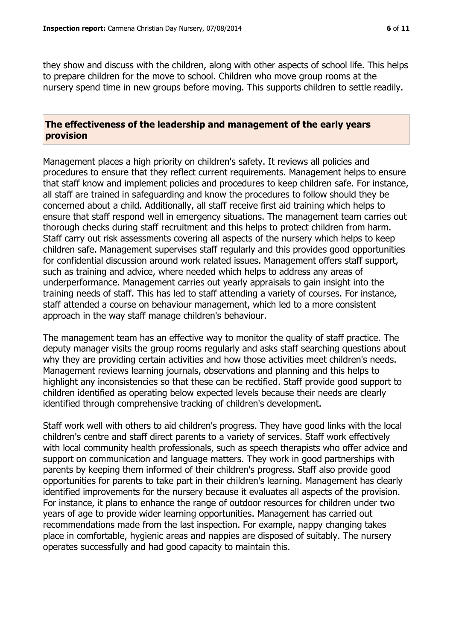they show and discuss with the children, along with other aspects of school life. This helps to prepare children for the move to school. Children who move group rooms at the nursery spend time in new groups before moving. This supports children to settle readily.

#### **The effectiveness of the leadership and management of the early years provision**

Management places a high priority on children's safety. It reviews all policies and procedures to ensure that they reflect current requirements. Management helps to ensure that staff know and implement policies and procedures to keep children safe. For instance, all staff are trained in safeguarding and know the procedures to follow should they be concerned about a child. Additionally, all staff receive first aid training which helps to ensure that staff respond well in emergency situations. The management team carries out thorough checks during staff recruitment and this helps to protect children from harm. Staff carry out risk assessments covering all aspects of the nursery which helps to keep children safe. Management supervises staff regularly and this provides good opportunities for confidential discussion around work related issues. Management offers staff support, such as training and advice, where needed which helps to address any areas of underperformance. Management carries out yearly appraisals to gain insight into the training needs of staff. This has led to staff attending a variety of courses. For instance, staff attended a course on behaviour management, which led to a more consistent approach in the way staff manage children's behaviour.

The management team has an effective way to monitor the quality of staff practice. The deputy manager visits the group rooms regularly and asks staff searching questions about why they are providing certain activities and how those activities meet children's needs. Management reviews learning journals, observations and planning and this helps to highlight any inconsistencies so that these can be rectified. Staff provide good support to children identified as operating below expected levels because their needs are clearly identified through comprehensive tracking of children's development.

Staff work well with others to aid children's progress. They have good links with the local children's centre and staff direct parents to a variety of services. Staff work effectively with local community health professionals, such as speech therapists who offer advice and support on communication and language matters. They work in good partnerships with parents by keeping them informed of their children's progress. Staff also provide good opportunities for parents to take part in their children's learning. Management has clearly identified improvements for the nursery because it evaluates all aspects of the provision. For instance, it plans to enhance the range of outdoor resources for children under two years of age to provide wider learning opportunities. Management has carried out recommendations made from the last inspection. For example, nappy changing takes place in comfortable, hygienic areas and nappies are disposed of suitably. The nursery operates successfully and had good capacity to maintain this.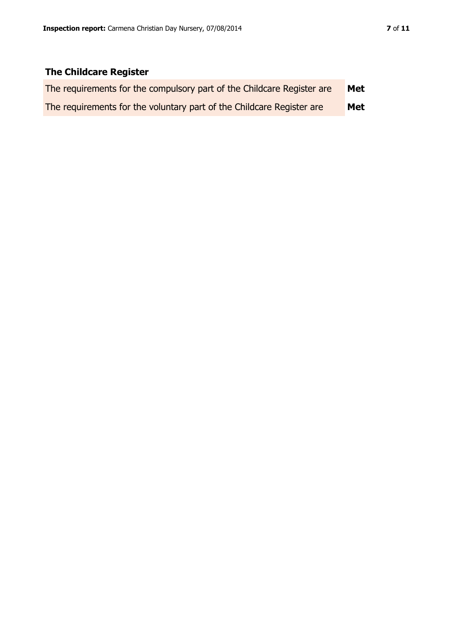## **The Childcare Register**

| The requirements for the compulsory part of the Childcare Register are | Met |
|------------------------------------------------------------------------|-----|
| The requirements for the voluntary part of the Childcare Register are  | Met |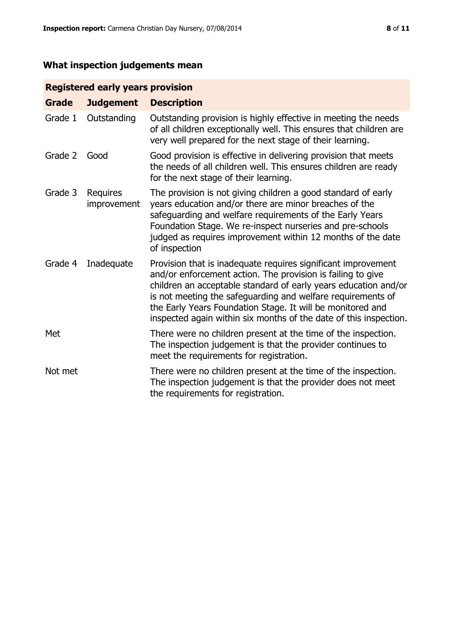# **What inspection judgements mean**

### **Registered early years provision**

| <b>Grade</b> | <b>Judgement</b>        | <b>Description</b>                                                                                                                                                                                                                                                                                                                                                                                |
|--------------|-------------------------|---------------------------------------------------------------------------------------------------------------------------------------------------------------------------------------------------------------------------------------------------------------------------------------------------------------------------------------------------------------------------------------------------|
| Grade 1      | Outstanding             | Outstanding provision is highly effective in meeting the needs<br>of all children exceptionally well. This ensures that children are<br>very well prepared for the next stage of their learning.                                                                                                                                                                                                  |
| Grade 2      | Good                    | Good provision is effective in delivering provision that meets<br>the needs of all children well. This ensures children are ready<br>for the next stage of their learning.                                                                                                                                                                                                                        |
| Grade 3      | Requires<br>improvement | The provision is not giving children a good standard of early<br>years education and/or there are minor breaches of the<br>safeguarding and welfare requirements of the Early Years<br>Foundation Stage. We re-inspect nurseries and pre-schools<br>judged as requires improvement within 12 months of the date<br>of inspection                                                                  |
| Grade 4      | Inadequate              | Provision that is inadequate requires significant improvement<br>and/or enforcement action. The provision is failing to give<br>children an acceptable standard of early years education and/or<br>is not meeting the safeguarding and welfare requirements of<br>the Early Years Foundation Stage. It will be monitored and<br>inspected again within six months of the date of this inspection. |
| Met          |                         | There were no children present at the time of the inspection.<br>The inspection judgement is that the provider continues to<br>meet the requirements for registration.                                                                                                                                                                                                                            |
| Not met      |                         | There were no children present at the time of the inspection.<br>The inspection judgement is that the provider does not meet<br>the requirements for registration.                                                                                                                                                                                                                                |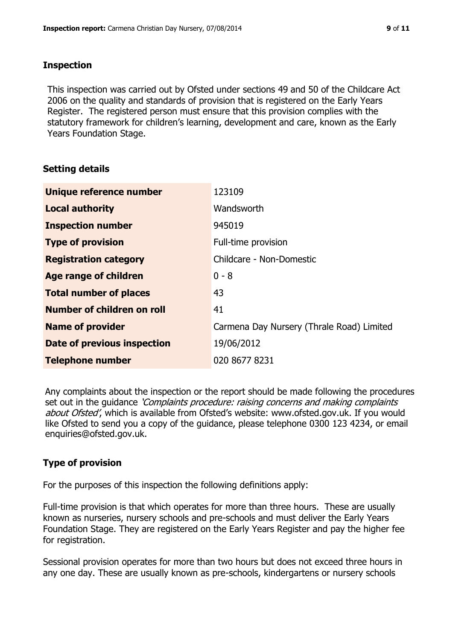#### **Inspection**

This inspection was carried out by Ofsted under sections 49 and 50 of the Childcare Act 2006 on the quality and standards of provision that is registered on the Early Years Register. The registered person must ensure that this provision complies with the statutory framework for children's learning, development and care, known as the Early Years Foundation Stage.

#### **Setting details**

| Unique reference number       | 123109                                    |
|-------------------------------|-------------------------------------------|
| <b>Local authority</b>        | Wandsworth                                |
| <b>Inspection number</b>      | 945019                                    |
| <b>Type of provision</b>      | Full-time provision                       |
| <b>Registration category</b>  | Childcare - Non-Domestic                  |
| Age range of children         | $0 - 8$                                   |
| <b>Total number of places</b> | 43                                        |
| Number of children on roll    | 41                                        |
| <b>Name of provider</b>       | Carmena Day Nursery (Thrale Road) Limited |
| Date of previous inspection   | 19/06/2012                                |
| <b>Telephone number</b>       | 020 8677 8231                             |

Any complaints about the inspection or the report should be made following the procedures set out in the guidance *'Complaints procedure: raising concerns and making complaints* about Ofsted', which is available from Ofsted's website: www.ofsted.gov.uk. If you would like Ofsted to send you a copy of the guidance, please telephone 0300 123 4234, or email enquiries@ofsted.gov.uk.

#### **Type of provision**

For the purposes of this inspection the following definitions apply:

Full-time provision is that which operates for more than three hours. These are usually known as nurseries, nursery schools and pre-schools and must deliver the Early Years Foundation Stage. They are registered on the Early Years Register and pay the higher fee for registration.

Sessional provision operates for more than two hours but does not exceed three hours in any one day. These are usually known as pre-schools, kindergartens or nursery schools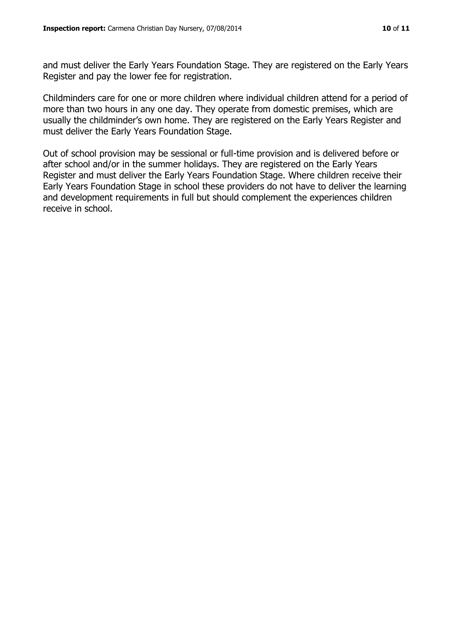and must deliver the Early Years Foundation Stage. They are registered on the Early Years Register and pay the lower fee for registration.

Childminders care for one or more children where individual children attend for a period of more than two hours in any one day. They operate from domestic premises, which are usually the childminder's own home. They are registered on the Early Years Register and must deliver the Early Years Foundation Stage.

Out of school provision may be sessional or full-time provision and is delivered before or after school and/or in the summer holidays. They are registered on the Early Years Register and must deliver the Early Years Foundation Stage. Where children receive their Early Years Foundation Stage in school these providers do not have to deliver the learning and development requirements in full but should complement the experiences children receive in school.